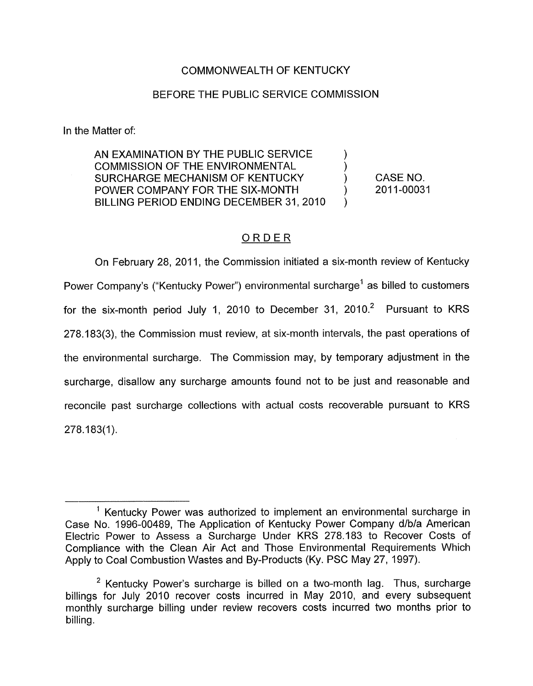# COMMONWEALTH OF KENTUCKY

### BEFORE THE PUBLIC SERVICE COMMISSION

In the Matter of:

AN EXAMINATION BY THE PUBLIC SERVICE  $\qquad \qquad$  ) COMMISSION OF THE ENVIRONMENTAL ) SURCHARGE MECHANISM OF KENTUCKY POWER COMPANY FOR THE SIX-MONTH BILLING PERIOD ENDING DECEMBER 31,2010

CASE NO. 2011-00031

)

# ORDER

On February 28, 2011, the Commission initiated a six-month review of Kentucky Power Company's ("Kentucky Power") environmental surcharge' as billed to customers for the six-month period July 1, 2010 to December 31, 2010. $^2$  Pursuant to KRS 278.1 83(3), the Commission must review, at six-month intervals, the past operations of the environmental surcharge. The Commission may, by temporary adjustment in the surcharge, disallow any surcharge amounts found not to be just and reasonable and reconcile past surcharge collections with actual costs recoverable pursuant to KRS  $278.183(1)$ .

 $<sup>1</sup>$  Kentucky Power was authorized to implement an environmental surcharge in</sup> Case No. 1996-00489, The Application of Kentucky Power Company d/b/a American Electric Power to Assess a Surcharge Under KRS 278.183 to Recover Costs of Compliance with the Clean Air Act and Those Environmental Requirements Which Apply to Coal Combustion Wastes and By-products (Ky. PSC May 27, 1997).

<sup>&</sup>lt;sup>2</sup> Kentucky Power's surcharge is billed on a two-month lag. Thus, surcharge billings for July 2010 recover costs incurred in May 2010, and every subsequent monthly surcharge billing under review recovers costs incurred two months prior to billing.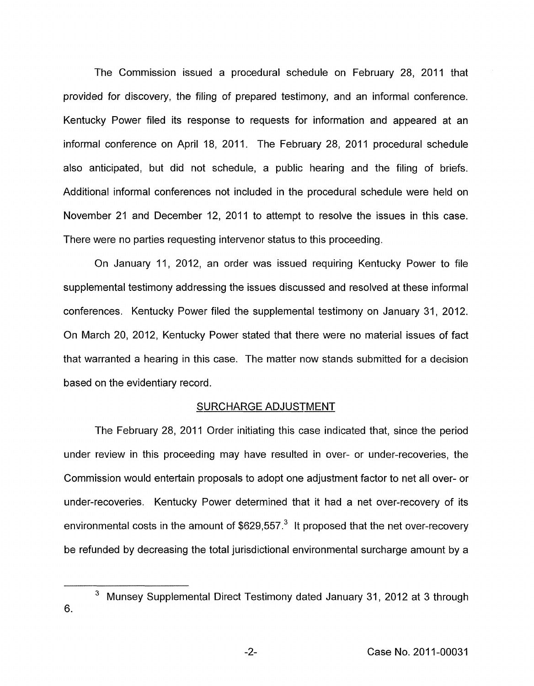<span id="page-1-0"></span>The Commission issued a procedural schedule on February 28, 2011 that provided for discovery, the filing of prepared testimony, and an informal conference. Kentucky Power filed its response to requests for information and appeared at an informal conference on April 18, 2011. The February 28, 2011 procedural schedule also anticipated, but did not schedule, a public hearing and the filing of briefs. Additional informal conferences not included in the procedural schedule were held on November 21 and December 12, 2011 to attempt to resolve the issues in this case. There were no parties requesting intervenor status to this proceeding.

On January 11, 2012, an order was issued requiring Kentucky Power to file supplemental testimony addressing the issues discussed and resolved at these informal conferences. Kentucky Power filed the supplemental testimony on January 31, 2012. On March 20, 2012, Kentucky Power stated that there were no material issues of fact that warranted a hearing in this case. The matter now stands submitted for a decision based on the evidentiary record.

#### SURCHARGE ADJUSTMENT

The February 28, 2011 Order initiating this case indicated that, since the period under review in this proceeding may have resulted in over- or under-recoveries, the Commission would entertain proposals to adopt one adjustment factor to net all over- or under-recoveries. Kentucky Power determined that it had a net over-recovery of its environmental costs in the amount of  $$629,557<sup>3</sup>$  It proposed that the net over-recovery be refunded by decreasing the total jurisdictional environmental surcharge amount by a

<sup>&</sup>lt;sup>3</sup> Munsey Supplemental Direct Testimony dated January 31, 2012 at 3 through 6.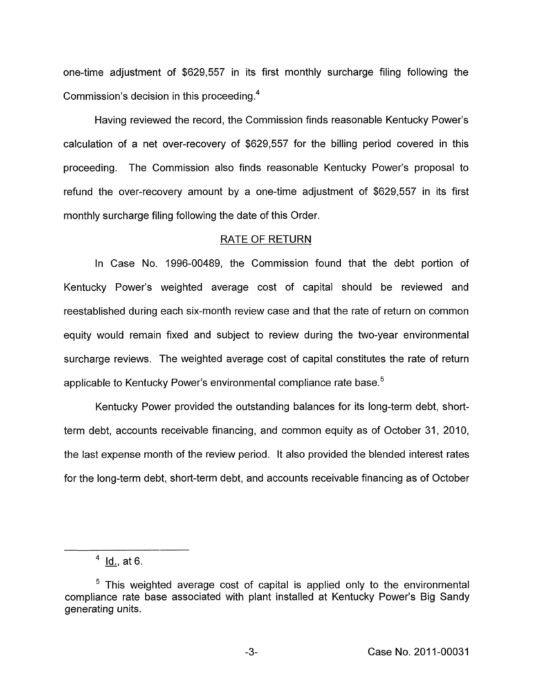one-time adjustment of \$629,557 in its first monthly surcharge filing following the Commission's decision in this proceeding. $4$ 

Having reviewed the record, the Commission finds reasonable Kentucky Power's calculation of a net over-recovery of \$629,557 for the billing period covered in this proceeding. The Commission also finds reasonable Kentucky Power's proposal to refund the over-recovery amount by a one-time adjustment of \$629,557 in its first monthly surcharge filing following the date of this Order.

#### RATE OF RETURN

In Case No. 1996-00489, the Commission found that the debt portion of Kentucky Power's weighted average cost of capital should be reviewed and reestablished during each six-month review case and that the rate of return on common equity would remain fixed and subject to review during the two-year environmental surcharge reviews. The weighted average cost of capital constitutes the rate of return applicable to Kentucky Power's environmental compliance rate base.<sup>5</sup>

Kentucky Power provided the outstanding balances for its long-term debt, shortterm debt, accounts receivable financing, and common equity as of October 31, 2010. the last expense month of the review period. It also provided the blended interest rates for the long-term debt, short-term debt, and accounts receivable financing as of October

 $4$  Id., at 6.

 $5$  This weighted average cost of capital is applied only to the environmental compliance rate base associated with plant installed at Kentucky Power's Big Sandy generating units .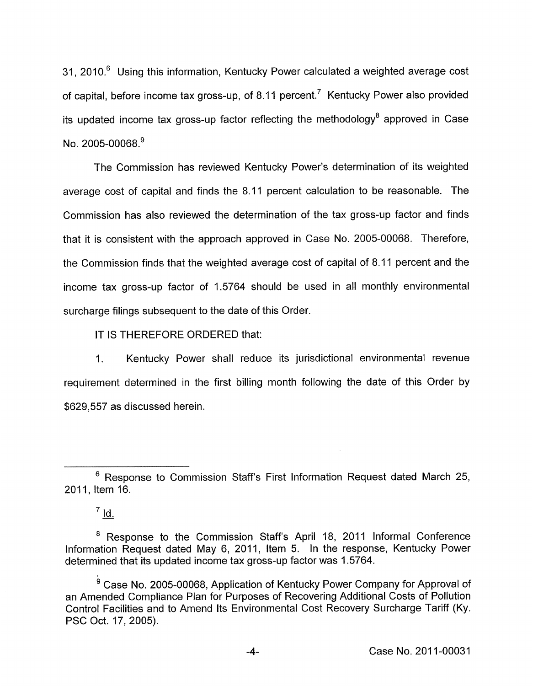31, 2010. $6$  Using this information, Kentucky Power calculated a weighted average cost of capital, before income tax gross-up, of 8.11 percent.<sup>7</sup> Kentucky Power also provided its updated income tax gross-up factor reflecting the methodology<sup>8</sup> approved in Case No. 2005-00068.<sup>9</sup>

The Commission has reviewed Kentucky Power's determination of its weighted average cost of capital and finds the 8.11 percent calculation to be reasonable. The Commission has also reviewed the determination of the tax gross-up factor and finds that it is consistent with the approach approved in Case No. 2005-00068. Therefore, the Commission finds that the weighted average cost of capital of 8.11 percent and the income tax gross-up factor of 1.5764 should be used in all monthly environmental surcharge filings subsequent to the date of this Order.

IT IS THEREFORE ORDERED that:

I. Kentucky Power shall reduce its jurisdictional environmental revenue requirement determined in the first billing month following the date of this Order by \$629,557 as discussed herein.

 $6$  Response to Commission Staff's First Information Request dated March 25, 2011, Item 16.

 $^7$  Id.

<sup>&</sup>lt;sup>8</sup> Response to the Commission Staff's April 18, 2011 Informal Conference Information Request dated May 6, 2011, Item 5. In the response, Kentucky Power determined that its updated income tax gross-up factor was 1.5764.

<sup>&</sup>lt;sup>9</sup> Case No. 2005-00068, Application of Kentucky Power Company for Approval of an Amended Compliance Plan for Purposes of Recovering Additional Costs of Pollution Control Facilities and to Amend Its Environmental Cost Recovery Surcharge Tariff (Ky. PSC Oct. 17, 2005).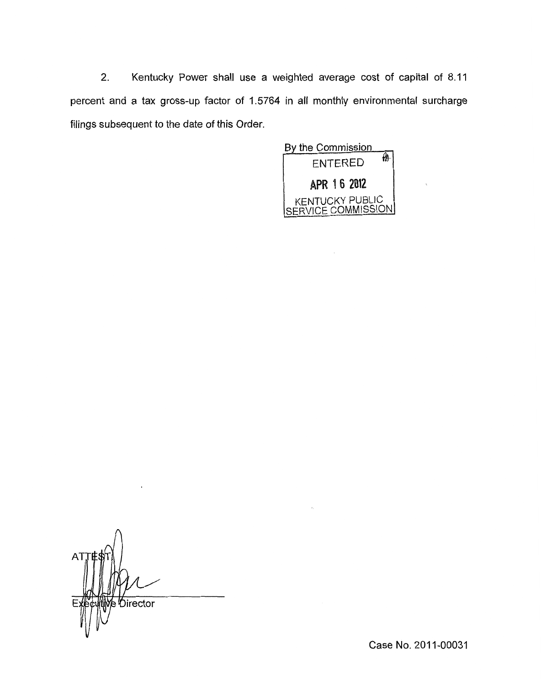2. Kentucky Power shall use a weighted average cost of capital of 8.11 percent and a tax gross-up factor of 1.5764 in all monthly environmental surcharge filings subsequent to the date of this Order.



A٦ B *Director* 

Case No. 2011-00031